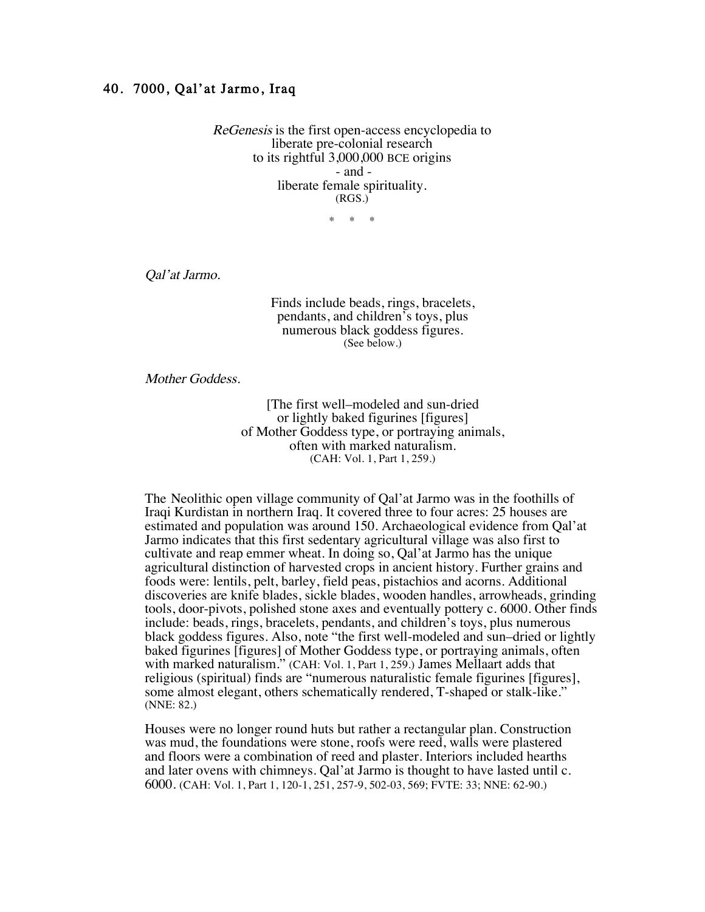## 40. 7000, Qal'at Jarmo, Iraq

ReGenesis is the first open-access encyclopedia to liberate pre-colonial research to its rightful 3,000,000 BCE origins - and liberate female spirituality. (RGS.)

 $*$   $*$ 

Qal'at Jarmo.

Finds include beads, rings, bracelets, pendants, and children's toys, plus numerous black goddess figures. (See below.)

Mother Goddess.

[The first well–modeled and sun-dried or lightly baked figurines [figures] of Mother Goddess type, or portraying animals, often with marked naturalism. (CAH: Vol. 1, Part 1, 259.)

 The Neolithic open village community of Qal'at Jarmo was in the foothills of Iraqi Kurdistan in northern Iraq. It covered three to four acres: 25 houses are estimated and population was around 150. Archaeological evidence from Qal'at Jarmo indicates that this first sedentary agricultural village was also first to cultivate and reap emmer wheat. In doing so, Qal'at Jarmo has the unique agricultural distinction of harvested crops in ancient history. Further grains and foods were: lentils, pelt, barley, field peas, pistachios and acorns. Additional discoveries are knife blades, sickle blades, wooden handles, arrowheads, grinding tools, door-pivots, polished stone axes and eventually pottery c. 6000. Other finds include: beads, rings, bracelets, pendants, and children's toys, plus numerous black goddess figures. Also, note "the first well-modeled and sun–dried or lightly baked figurines [figures] of Mother Goddess type, or portraying animals, often with marked naturalism." (CAH: Vol. 1, Part 1, 259.) James Mellaart adds that religious (spiritual) finds are "numerous naturalistic female figurines [figures], some almost elegant, others schematically rendered, T-shaped or stalk-like." (NNE: 82.)

Houses were no longer round huts but rather a rectangular plan. Construction was mud, the foundations were stone, roofs were reed, walls were plastered and floors were a combination of reed and plaster. Interiors included hearths and later ovens with chimneys. Qal'at Jarmo is thought to have lasted until c. 6000. (CAH: Vol. 1, Part 1, 120-1, 251, 257-9, 502-03, 569; FVTE: 33; NNE: 62-90.)